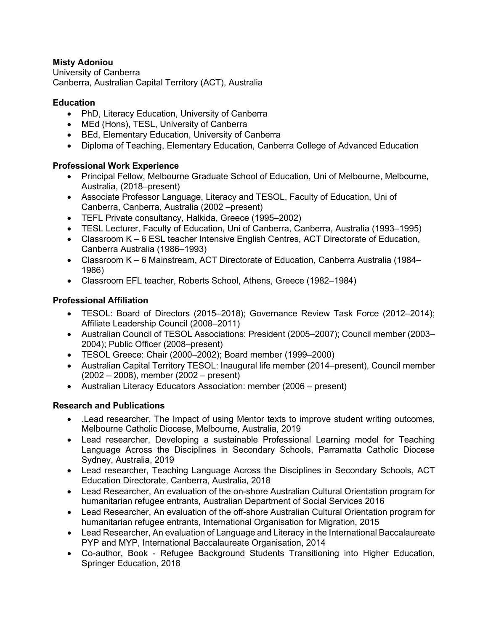## **Misty Adoniou**

University of Canberra Canberra, Australian Capital Territory (ACT), Australia

#### **Education**

- PhD, Literacy Education, University of Canberra
- MEd (Hons), TESL, University of Canberra
- BEd, Elementary Education, University of Canberra
- Diploma of Teaching, Elementary Education, Canberra College of Advanced Education

### **Professional Work Experience**

- Principal Fellow, Melbourne Graduate School of Education, Uni of Melbourne, Melbourne, Australia, (2018–present)
- Associate Professor Language, Literacy and TESOL, Faculty of Education, Uni of Canberra, Canberra, Australia (2002 –present)
- TEFL Private consultancy, Halkida, Greece (1995–2002)
- TESL Lecturer, Faculty of Education, Uni of Canberra, Canberra, Australia (1993–1995)
- Classroom K 6 ESL teacher Intensive English Centres, ACT Directorate of Education, Canberra Australia (1986–1993)
- Classroom K 6 Mainstream, ACT Directorate of Education, Canberra Australia (1984– 1986)
- Classroom EFL teacher, Roberts School, Athens, Greece (1982–1984)

## **Professional Affiliation**

- TESOL: Board of Directors (2015–2018); Governance Review Task Force (2012–2014); Affiliate Leadership Council (2008–2011)
- Australian Council of TESOL Associations: President (2005–2007); Council member (2003– 2004); Public Officer (2008–present)
- TESOL Greece: Chair (2000–2002); Board member (1999–2000)
- Australian Capital Territory TESOL: Inaugural life member (2014–present), Council member (2002 – 2008), member (2002 – present)
- Australian Literacy Educators Association: member (2006 present)

# **Research and Publications**

- .Lead researcher, The Impact of using Mentor texts to improve student writing outcomes, Melbourne Catholic Diocese, Melbourne, Australia, 2019
- Lead researcher, Developing a sustainable Professional Learning model for Teaching Language Across the Disciplines in Secondary Schools, Parramatta Catholic Diocese Sydney, Australia, 2019
- Lead researcher, Teaching Language Across the Disciplines in Secondary Schools, ACT Education Directorate, Canberra, Australia, 2018
- Lead Researcher, An evaluation of the on-shore Australian Cultural Orientation program for humanitarian refugee entrants, Australian Department of Social Services 2016
- Lead Researcher, An evaluation of the off-shore Australian Cultural Orientation program for humanitarian refugee entrants, International Organisation for Migration, 2015
- Lead Researcher, An evaluation of Language and Literacy in the International Baccalaureate PYP and MYP, International Baccalaureate Organisation, 2014
- Co-author, Book Refugee Background Students Transitioning into Higher Education, Springer Education, 2018